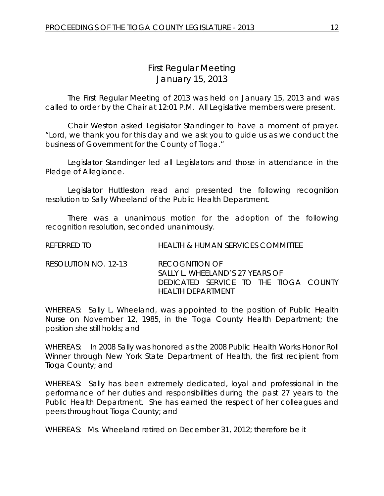# *First Regular Meeting* January 15, 2013

The First Regular Meeting of 2013 was held on January 15, 2013 and was called to order by the Chair at 12:01 P.M. All Legislative members were present.

Chair Weston asked Legislator Standinger to have a moment of prayer. "Lord, we thank you for this day and we ask you to guide us as we conduct the business of Government for the County of Tioga."

Legislator Standinger led all Legislators and those in attendance in the Pledge of Allegiance.

Legislator Huttleston read and presented the following recognition resolution to Sally Wheeland of the Public Health Department.

There was a unanimous motion for the adoption of the following recognition resolution, seconded unanimously.

REFERRED TO HEALTH & HUMAN SERVICES COMMITTEE

RESOLUTION NO. 12-13 *RECOGNITION OF SALLY L. WHEELAND'S 27 YEARS OF DEDICATED SERVICE TO THE TIOGA COUNTY HEALTH DEPARTMENT*

WHEREAS: Sally L. Wheeland, was appointed to the position of Public Health Nurse on November 12, 1985, in the Tioga County Health Department; the position she still holds; and

WHEREAS: In 2008 Sally was honored as the 2008 Public Health Works Honor Roll Winner through New York State Department of Health, the first recipient from Tioga County; and

WHEREAS: Sally has been extremely dedicated, loyal and professional in the performance of her duties and responsibilities during the past 27 years to the Public Health Department. She has earned the respect of her colleagues and peers throughout Tioga County; and

WHEREAS: Ms. Wheeland retired on December 31, 2012; therefore be it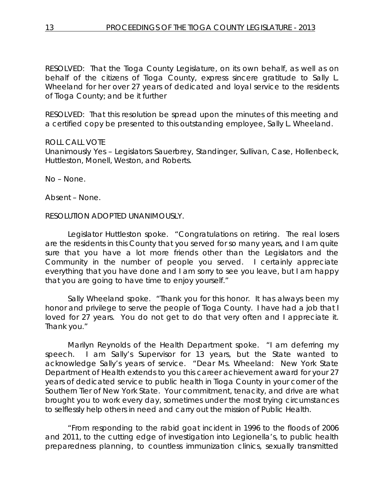RESOLVED: That the Tioga County Legislature, on its own behalf, as well as on behalf of the citizens of Tioga County, express sincere gratitude to Sally L. Wheeland for her over 27 years of dedicated and loyal service to the residents of Tioga County; and be it further

RESOLVED: That this resolution be spread upon the minutes of this meeting and a certified copy be presented to this outstanding employee, Sally L. Wheeland.

## ROLL CALL VOTE

Unanimously Yes – Legislators Sauerbrey, Standinger, Sullivan, Case, Hollenbeck, Huttleston, Monell, Weston, and Roberts.

No – None.

Absent – None.

#### RESOLUTION ADOPTED UNANIMOUSLY.

Legislator Huttleston spoke. "Congratulations on retiring. The real losers are the residents in this County that you served for so many years, and I am quite sure that you have a lot more friends other than the Legislators and the Community in the number of people you served. I certainly appreciate everything that you have done and I am sorry to see you leave, but I am happy that you are going to have time to enjoy yourself."

Sally Wheeland spoke. "Thank you for this honor. It has always been my honor and privilege to serve the people of Tioga County. I have had a job that I loved for 27 years. You do not get to do that very often and I appreciate it. Thank you."

Marilyn Reynolds of the Health Department spoke. "I am deferring my speech. I am Sally's Supervisor for 13 years, but the State wanted to acknowledge Sally's years of service. "Dear Ms. Wheeland: New York State Department of Health extends to you this career achievement award for your 27 years of dedicated service to public health in Tioga County in your corner of the Southern Tier of New York State. Your commitment, tenacity, and drive are what brought you to work every day, sometimes under the most trying circumstances to selflessly help others in need and carry out the mission of Public Health.

"From responding to the rabid goat incident in 1996 to the floods of 2006 and 2011, to the cutting edge of investigation into Legionella's, to public health preparedness planning, to countless immunization clinics, sexually transmitted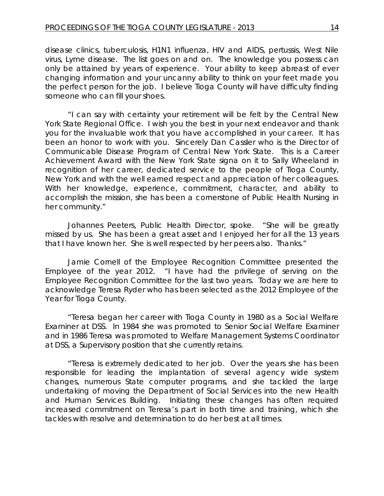disease clinics, tuberculosis, H1N1 influenza, HIV and AIDS, pertussis, West Nile virus, Lyme disease. The list goes on and on. The knowledge you possess can only be attained by years of experience. Your ability to keep abreast of ever changing information and your uncanny ability to think on your feet made you the perfect person for the job. I believe Tioga County will have difficulty finding someone who can fill your shoes.

"I can say with certainty your retirement will be felt by the Central New York State Regional Office. I wish you the best in your next endeavor and thank you for the invaluable work that you have accomplished in your career. It has been an honor to work with you. Sincerely Dan Cassler who is the Director of Communicable Disease Program of Central New York State. This is a Career Achievement Award with the New York State signa on it to Sally Wheeland in recognition of her career, dedicated service to the people of Tioga County, New York and with the well earned respect and appreciation of her colleagues. With her knowledge, experience, commitment, character, and ability to accomplish the mission, she has been a cornerstone of Public Health Nursing in her community."

Johannes Peeters, Public Health Director, spoke. "She will be greatly missed by us. She has been a great asset and I enjoyed her for all the 13 years that I have known her. She is well respected by her peers also. Thanks."

Jamie Cornell of the Employee Recognition Committee presented the Employee of the year 2012. "I have had the privilege of serving on the Employee Recognition Committee for the last two years. Today we are here to acknowledge Teresa Ryder who has been selected as the 2012 Employee of the Year for Tioga County.

"Teresa began her career with Tioga County in 1980 as a Social Welfare Examiner at DSS. In 1984 she was promoted to Senior Social Welfare Examiner and in 1986 Teresa was promoted to Welfare Management Systems Coordinator at DSS, a Supervisory position that she currently retains.

"Teresa is extremely dedicated to her job. Over the years she has been responsible for leading the implantation of several agency wide system changes, numerous State computer programs, and she tackled the large undertaking of moving the Department of Social Services into the new Health and Human Services Building. Initiating these changes has often required increased commitment on Teresa's part in both time and training, which she tackles with resolve and determination to do her best at all times.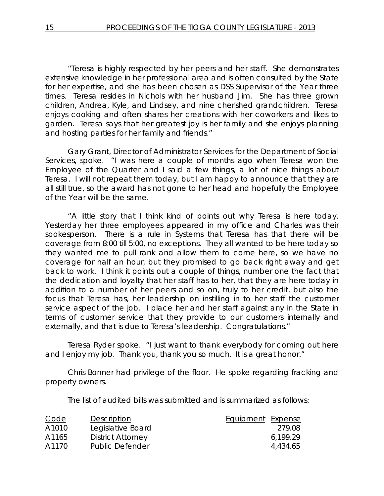"Teresa is highly respected by her peers and her staff. She demonstrates extensive knowledge in her professional area and is often consulted by the State for her expertise, and she has been chosen as DSS Supervisor of the Year three times. Teresa resides in Nichols with her husband Jim. She has three grown children, Andrea, Kyle, and Lindsey, and nine cherished grandchildren. Teresa enjoys cooking and often shares her creations with her coworkers and likes to garden. Teresa says that her greatest joy is her family and she enjoys planning and hosting parties for her family and friends."

Gary Grant, Director of Administrator Services for the Department of Social Services, spoke. "I was here a couple of months ago when Teresa won the Employee of the Quarter and I said a few things, a lot of nice things about Teresa. I will not repeat them today, but I am happy to announce that they are all still true, so the award has not gone to her head and hopefully the Employee of the Year will be the same.

"A little story that I think kind of points out why Teresa is here today. Yesterday her three employees appeared in my office and Charles was their spokesperson. There is a rule in Systems that Teresa has that there will be coverage from 8:00 till 5:00, no exceptions. They all wanted to be here today so they wanted me to pull rank and allow them to come here, so we have no coverage for half an hour, but they promised to go back right away and get back to work. I think it points out a couple of things, number one the fact that the dedication and loyalty that her staff has to her, that they are here today in addition to a number of her peers and so on, truly to her credit, but also the focus that Teresa has, her leadership on instilling in to her staff the customer service aspect of the job. I place her and her staff against any in the State in terms of customer service that they provide to our customers internally and externally, and that is due to Teresa's leadership. Congratulations."

Teresa Ryder spoke. "I just want to thank everybody for coming out here and I enjoy my job. Thank you, thank you so much. It is a great honor."

Chris Bonner had privilege of the floor. He spoke regarding fracking and property owners.

The list of audited bills was submitted and is summarized as follows:

| <b>Code</b> | Description              | Equipment Expense |          |
|-------------|--------------------------|-------------------|----------|
| A1010       | Legislative Board        |                   | 279.08   |
| A1165       | <b>District Attorney</b> |                   | 6.199.29 |
| A1170       | Public Defender          |                   | 4,434.65 |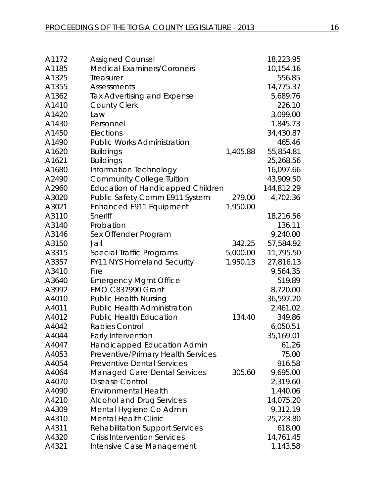| A1172 | <b>Assigned Counsel</b>                  |          | 18,223.95  |
|-------|------------------------------------------|----------|------------|
| A1185 | <b>Medical Examiners/Coroners</b>        |          | 10,154.16  |
| A1325 | Treasurer                                |          | 556.85     |
| A1355 | <b>Assessments</b>                       |          | 14,775.37  |
| A1362 | <b>Tax Advertising and Expense</b>       |          | 5,689.76   |
| A1410 | <b>County Clerk</b>                      |          | 226.10     |
| A1420 | Law                                      |          | 3,099.00   |
| A1430 | Personnel                                |          | 1,845.73   |
| A1450 | Elections                                |          | 34,430.87  |
| A1490 | <b>Public Works Administration</b>       |          | 465.46     |
| A1620 | <b>Buildings</b>                         | 1,405.88 | 55,854.81  |
| A1621 | <b>Buildings</b>                         |          | 25,268.56  |
| A1680 | Information Technology                   |          | 16,097.66  |
| A2490 | <b>Community College Tuition</b>         |          | 43,909.50  |
| A2960 | <b>Education of Handicapped Children</b> |          | 144,812.29 |
| A3020 | Public Safety Comm E911 System           | 279.00   | 4,702.36   |
| A3021 | Enhanced E911 Equipment                  | 1,950.00 |            |
| A3110 | <b>Sheriff</b>                           |          | 18,216.56  |
| A3140 | Probation                                |          | 136.11     |
| A3146 | Sex Offender Program                     |          | 9,240.00   |
| A3150 | Jail                                     | 342.25   | 57,584.92  |
| A3315 | Special Traffic Programs                 | 5,000.00 | 11,795.50  |
| A3357 | <b>FY11 NYS Homeland Security</b>        | 1,950.13 | 27,816.13  |
| A3410 | Fire                                     |          | 9,564.35   |
| A3640 | <b>Emergency Mgmt Office</b>             |          | 519.89     |
| A3992 | <b>EMO C837990 Grant</b>                 |          | 8,720.00   |
| A4010 | <b>Public Health Nursing</b>             |          | 36,597.20  |
| A4011 | <b>Public Health Administration</b>      |          | 2,461.02   |
| A4012 | <b>Public Health Education</b>           | 134.40   | 349.86     |
| A4042 | <b>Rabies Control</b>                    |          | 6,050.51   |
| A4044 | Early Intervention                       |          | 35,169.01  |
| A4047 | Handicapped Education Admin              |          | 61.26      |
| A4053 | Preventive/Primary Health Services       |          | 75.00      |
| A4054 | <b>Preventive Dental Services</b>        |          | 916.58     |
| A4064 | <b>Managed Care-Dental Services</b>      | 305.60   | 9,695.00   |
| A4070 | Disease Control                          |          | 2,319.60   |
| A4090 | <b>Environmental Health</b>              |          | 1,440.06   |
| A4210 | <b>Alcohol and Drug Services</b>         |          | 14,075.20  |
| A4309 | Mental Hygiene Co Admin                  |          | 9,312.19   |
| A4310 | <b>Mental Health Clinic</b>              |          | 25,723.80  |
| A4311 | <b>Rehabilitation Support Services</b>   |          | 618.00     |
| A4320 | <b>Crisis Intervention Services</b>      |          | 14,761.45  |
| A4321 | Intensive Case Management                |          | 1,143.58   |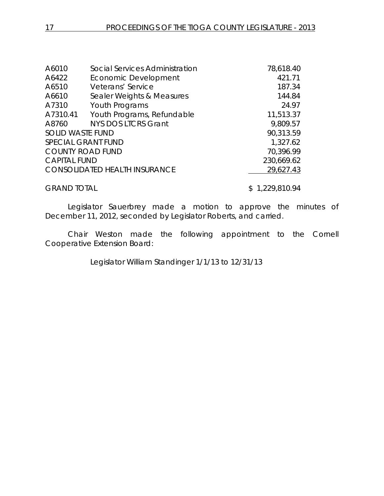| A6010                   | Social Services Administration       | 78,618.40  |
|-------------------------|--------------------------------------|------------|
| A6422                   | Economic Development                 | 421.71     |
| A6510                   | Veterans' Service                    | 187.34     |
| A6610                   | Sealer Weights & Measures            | 144.84     |
| A7310                   | Youth Programs                       | 24.97      |
| A7310.41                | Youth Programs, Refundable           | 11,513.37  |
| A8760                   | <b>NYS DOS LTCRS Grant</b>           | 9,809.57   |
| <b>SOLID WASTE FUND</b> |                                      | 90,313.59  |
|                         | <b>SPECIAL GRANT FUND</b>            | 1,327.62   |
|                         | <b>COUNTY ROAD FUND</b>              | 70,396.99  |
| <b>CAPITAL FUND</b>     |                                      | 230,669.62 |
|                         | <b>CONSOLIDATED HEALTH INSURANCE</b> | 29,627.43  |
|                         |                                      |            |

GRAND TOTAL \$ 1,229,810.94

Legislator Sauerbrey made a motion to approve the minutes of December 11, 2012, seconded by Legislator Roberts, and carried.

Chair Weston made the following appointment to the Cornell Cooperative Extension Board:

Legislator William Standinger 1/1/13 to 12/31/13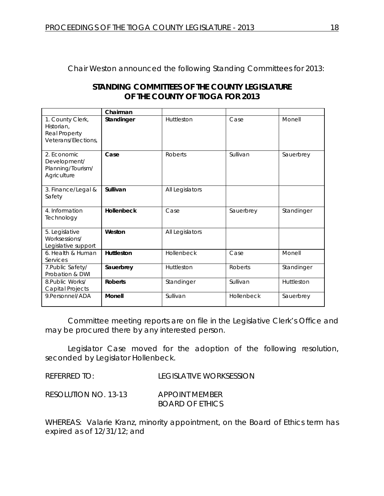Chair Weston announced the following Standing Committees for 2013:

| STANDING COMMITTEES OF THE COUNTY LEGISLATURE |
|-----------------------------------------------|
| OF THE COUNTY OF TIOGA FOR 2013               |

|                                                                        | Chairman          |                 |                |            |
|------------------------------------------------------------------------|-------------------|-----------------|----------------|------------|
| 1. County Clerk,<br>Historian.<br>Real Property<br>Veterans/Elections, | Standinger        | Huttleston      | Case           | Monell     |
| 2. Economic<br>Development/<br>Planning/Tourism/<br>Agriculture        | Case              | <b>Roberts</b>  | Sullivan       | Sauerbrey  |
| 3. Finance/Legal &<br>Safety                                           | Sullivan          | All Legislators |                |            |
| 4. Information<br>Technology                                           | <b>Hollenbeck</b> | Case            | Sauerbrey      | Standinger |
| 5. Legislative<br>Worksessions/<br>Legislative support                 | Weston            | All Legislators |                |            |
| 6. Health & Human<br>Services                                          | Huttleston        | Hollenbeck      | Case           | Monell     |
| 7. Public Safety/<br>Probation & DWI                                   | Sauerbrey         | Huttleston      | <b>Roberts</b> | Standinger |
| 8. Public Works/<br>Capital Projects                                   | <b>Roberts</b>    | Standinger      | Sullivan       | Huttleston |
| 9.Personnel/ADA                                                        | <b>Monell</b>     | Sullivan        | Hollenbeck     | Sauerbrey  |

Committee meeting reports are on file in the Legislative Clerk's Office and may be procured there by any interested person.

Legislator Case moved for the adoption of the following resolution, seconded by Legislator Hollenbeck.

REFERRED TO: LEGISLATIVE WORKSESSION

RESOLUTION NO. 13-13 *APPOINT MEMBER BOARD OF ETHICS*

WHEREAS: Valarie Kranz, minority appointment, on the Board of Ethics term has expired as of 12/31/12; and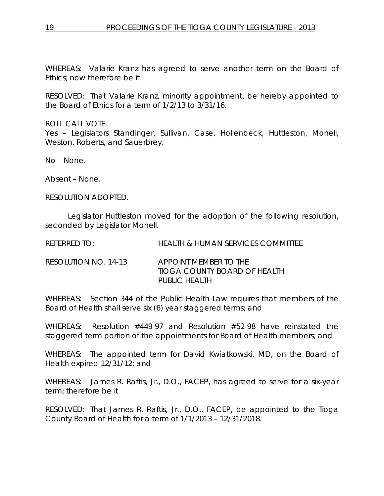WHEREAS: Valarie Kranz has agreed to serve another term on the Board of Ethics; now therefore be it

RESOLVED: That Valarie Kranz, minority appointment, be hereby appointed to the Board of Ethics for a term of 1/2/13 to 3/31/16.

ROLL CALL VOTE Yes - Legislators Standinger, Sullivan, Case, Hollenbeck, Huttleston, Monell, Weston, Roberts, and Sauerbrey.

No – None.

Absent – None.

RESOLUTION ADOPTED.

Legislator Huttleston moved for the adoption of the following resolution, seconded by Legislator Monell.

REFERRED TO: HEALTH & HUMAN SERVICES COMMITTEE

RESOLUTION NO. 14-13 *APPOINT MEMBER TO THE TIOGA COUNTY BOARD OF HEALTH PUBLIC HEALTH*

WHEREAS: Section 344 of the Public Health Law requires that members of the Board of Health shall serve six (6) year staggered terms; and

WHEREAS: Resolution #449-97 and Resolution #52-98 have reinstated the staggered term portion of the appointments for Board of Health members; and

WHEREAS: The appointed term for David Kwiatkowski, MD, on the Board of Health expired 12/31/12; and

WHEREAS: James R. Raftis, Jr., D.O., FACEP, has agreed to serve for a six-year term; therefore be it

RESOLVED: That James R. Raftis, Jr., D.O., FACEP, be appointed to the Tioga County Board of Health for a term of 1/1/2013 – 12/31/2018.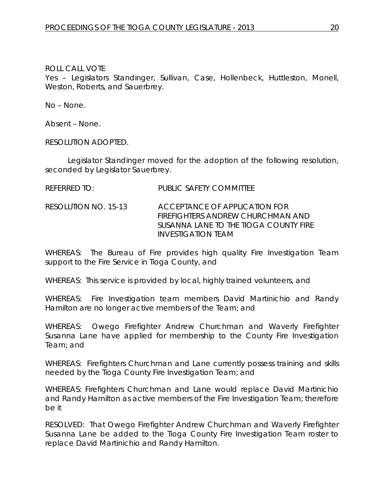Yes – Legislators Standinger, Sullivan, Case, Hollenbeck, Huttleston, Monell, Weston, Roberts, and Sauerbrey.

No – None.

Absent – None.

RESOLUTION ADOPTED.

Legislator Standinger moved for the adoption of the following resolution, seconded by Legislator Sauerbrey.

- REFERRED TO: PUBLIC SAFETY COMMITTEE
- RESOLUTION NO. 15-13 *ACCEPTANCE OF APPLICATION FOR FIREFIGHTERS ANDREW CHURCHMAN AND SUSANNA LANE TO THE TIOGA COUNTY FIRE INVESTIGATION TEAM*

WHEREAS: The Bureau of Fire provides high quality Fire Investigation Team support to the Fire Service in Tioga County, and

WHEREAS: This service is provided by local, highly trained volunteers, and

WHEREAS: Fire Investigation team members David Martinichio and Randy Hamilton are no longer active members of the Team; and

WHEREAS: Owego Firefighter Andrew Churchman and Waverly Firefighter Susanna Lane have applied for membership to the County Fire Investigation Team; and

WHEREAS: Firefighters Churchman and Lane currently possess training and skills needed by the Tioga County Fire Investigation Team; and

WHEREAS: Firefighters Churchman and Lane would replace David Martinichio and Randy Hamilton as active members of the Fire Investigation Team; therefore be it

RESOLVED: That Owego Firefighter Andrew Churchman and Waverly Firefighter Susanna Lane be added to the Tioga County Fire Investigation Team roster to replace David Martinichio and Randy Hamilton.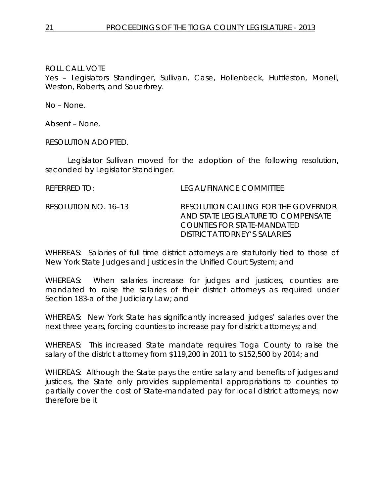Yes – Legislators Standinger, Sullivan, Case, Hollenbeck, Huttleston, Monell, Weston, Roberts, and Sauerbrey.

No – None.

Absent – None.

RESOLUTION ADOPTED.

Legislator Sullivan moved for the adoption of the following resolution, seconded by Legislator Standinger.

REFERRED TO: LEGAL/FINANCE COMMITTEE

RESOLUTION NO. 16–13 *RESOLUTION CALLING FOR THE GOVERNOR AND STATE LEGISLATURE TO COMPENSATE COUNTIES FOR STATE-MANDATED DISTRICT ATTORNEY'S SALARIES*

WHEREAS: Salaries of full time district attorneys are statutorily tied to those of New York State Judges and Justices in the Unified Court System; and

WHEREAS: When salaries increase for judges and justices, counties are mandated to raise the salaries of their district attorneys as required under Section 183-a of the Judiciary Law; and

WHEREAS: New York State has significantly increased judges' salaries over the next three years, forcing counties to increase pay for district attorneys; and

WHEREAS: This increased State mandate requires Tioga County to raise the salary of the district attorney from \$119,200 in 2011 to \$152,500 by 2014; and

WHEREAS: Although the State pays the entire salary and benefits of judges and justices, the State only provides supplemental appropriations to counties to partially cover the cost of State-mandated pay for local district attorneys; now therefore be it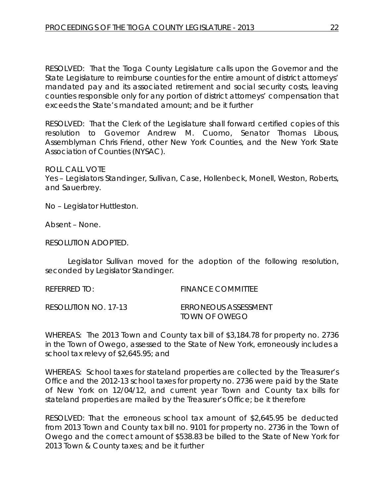RESOLVED: That the Tioga County Legislature calls upon the Governor and the State Legislature to reimburse counties for the entire amount of district attorneys' mandated pay and its associated retirement and social security costs, leaving counties responsible only for any portion of district attorneys' compensation that exceeds the State's mandated amount; and be it further

RESOLVED: That the Clerk of the Legislature shall forward certified copies of this resolution to Governor Andrew M. Cuomo, Senator Thomas Libous, Assemblyman Chris Friend, other New York Counties, and the New York State Association of Counties (NYSAC).

ROLL CALL VOTE Yes – Legislators Standinger, Sullivan, Case, Hollenbeck, Monell, Weston, Roberts, and Sauerbrey.

No – Legislator Huttleston.

Absent – None.

RESOLUTION ADOPTED.

school tax relevy of \$2,645.95; and

Legislator Sullivan moved for the adoption of the following resolution, seconded by Legislator Standinger.

REFERRED TO: FINANCE COMMITTEE RESOLUTION NO. 17-13 *ERRONEOUS ASSESSMENT*

*TOWN OF OWEGO* WHEREAS: The 2013 Town and County tax bill of \$3,184.78 for property no. 2736 in the Town of Owego, assessed to the State of New York, erroneously includes a

WHEREAS: School taxes for stateland properties are collected by the Treasurer's Office and the 2012-13 school taxes for property no. 2736 were paid by the State of New York on 12/04/12, and current year Town and County tax bills for stateland properties are mailed by the Treasurer's Office; be it therefore

RESOLVED: That the erroneous school tax amount of \$2,645.95 be deducted from 2013 Town and County tax bill no. 9101 for property no. 2736 in the Town of Owego and the correct amount of \$538.83 be billed to the State of New York for 2013 Town & County taxes; and be it further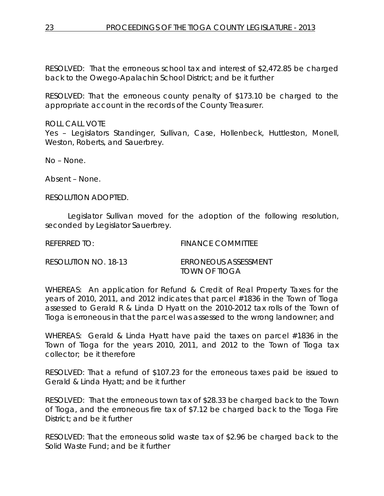RESOLVED: That the erroneous school tax and interest of \$2,472.85 be charged back to the Owego-Apalachin School District; and be it further

RESOLVED: That the erroneous county penalty of \$173.10 be charged to the appropriate account in the records of the County Treasurer.

ROLL CALL VOTE Yes – Legislators Standinger, Sullivan, Case, Hollenbeck, Huttleston, Monell, Weston, Roberts, and Sauerbrey.

No – None.

Absent – None.

RESOLUTION ADOPTED.

Legislator Sullivan moved for the adoption of the following resolution, seconded by Legislator Sauerbrey.

REFERRED TO: FINANCE COMMITTEE

RESOLUTION NO. 18-13 *ERRONEOUS ASSESSMENT TOWN OF TIOGA*

WHEREAS: An application for Refund & Credit of Real Property Taxes for the years of 2010, 2011, and 2012 indicates that parcel #1836 in the Town of Tioga assessed to Gerald R & Linda D Hyatt on the 2010-2012 tax rolls of the Town of Tioga is erroneous in that the parcel was assessed to the wrong landowner; and

WHEREAS: Gerald & Linda Hyatt have paid the taxes on parcel #1836 in the Town of Tioga for the years 2010, 2011, and 2012 to the Town of Tioga tax collector; be it therefore

RESOLVED: That a refund of \$107.23 for the erroneous taxes paid be issued to Gerald & Linda Hyatt; and be it further

RESOLVED: That the erroneous town tax of \$28.33 be charged back to the Town of Tioga, and the erroneous fire tax of \$7.12 be charged back to the Tioga Fire District; and be it further

RESOLVED: That the erroneous solid waste tax of \$2.96 be charged back to the Solid Waste Fund; and be it further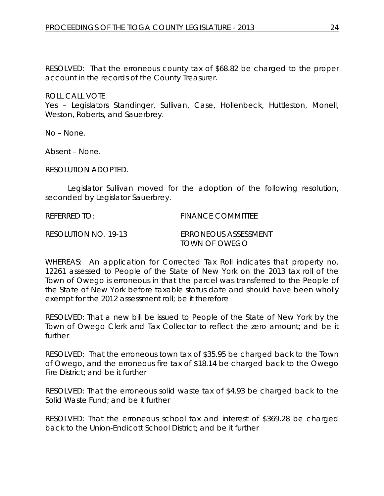RESOLVED: That the erroneous county tax of \$68.82 be charged to the proper account in the records of the County Treasurer.

ROLL CALL VOTE

Yes – Legislators Standinger, Sullivan, Case, Hollenbeck, Huttleston, Monell, Weston, Roberts, and Sauerbrey.

No – None.

Absent – None.

RESOLUTION ADOPTED.

Legislator Sullivan moved for the adoption of the following resolution, seconded by Legislator Sauerbrey.

REFERRED TO: FINANCE COMMITTEE

RESOLUTION NO. 19-13 *ERRONEOUS ASSESSMENT TOWN OF OWEGO*

WHEREAS: An application for Corrected Tax Roll indicates that property no. 12261 assessed to People of the State of New York on the 2013 tax roll of the Town of Owego is erroneous in that the parcel was transferred to the People of the State of New York before taxable status date and should have been wholly exempt for the 2012 assessment roll; be it therefore

RESOLVED: That a new bill be issued to People of the State of New York by the Town of Owego Clerk and Tax Collector to reflect the zero amount; and be it further

RESOLVED: That the erroneous town tax of \$35.95 be charged back to the Town of Owego, and the erroneous fire tax of \$18.14 be charged back to the Owego Fire District; and be it further

RESOLVED: That the erroneous solid waste tax of \$4.93 be charged back to the Solid Waste Fund; and be it further

RESOLVED: That the erroneous school tax and interest of \$369.28 be charged back to the Union-Endicott School District; and be it further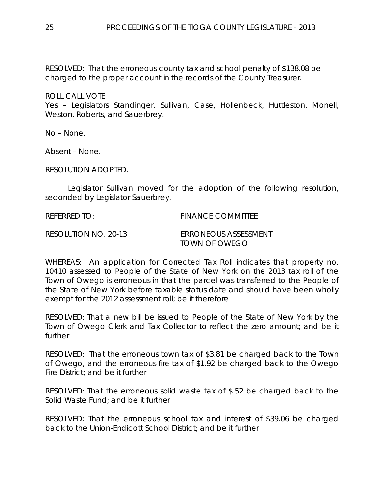RESOLVED: That the erroneous county tax and school penalty of \$138.08 be charged to the proper account in the records of the County Treasurer.

### ROLL CALL VOTE

Yes – Legislators Standinger, Sullivan, Case, Hollenbeck, Huttleston, Monell, Weston, Roberts, and Sauerbrey.

No – None.

Absent – None.

RESOLUTION ADOPTED.

Legislator Sullivan moved for the adoption of the following resolution, seconded by Legislator Sauerbrey.

REFERRED TO: FINANCE COMMITTEE

RESOLUTION NO. 20-13 *ERRONEOUS ASSESSMENT TOWN OF OWEGO*

WHEREAS: An application for Corrected Tax Roll indicates that property no. 10410 assessed to People of the State of New York on the 2013 tax roll of the Town of Owego is erroneous in that the parcel was transferred to the People of the State of New York before taxable status date and should have been wholly exempt for the 2012 assessment roll; be it therefore

RESOLVED: That a new bill be issued to People of the State of New York by the Town of Owego Clerk and Tax Collector to reflect the zero amount; and be it further

RESOLVED: That the erroneous town tax of \$3.81 be charged back to the Town of Owego, and the erroneous fire tax of \$1.92 be charged back to the Owego Fire District; and be it further

RESOLVED: That the erroneous solid waste tax of \$.52 be charged back to the Solid Waste Fund; and be it further

RESOLVED: That the erroneous school tax and interest of \$39.06 be charged back to the Union-Endicott School District; and be it further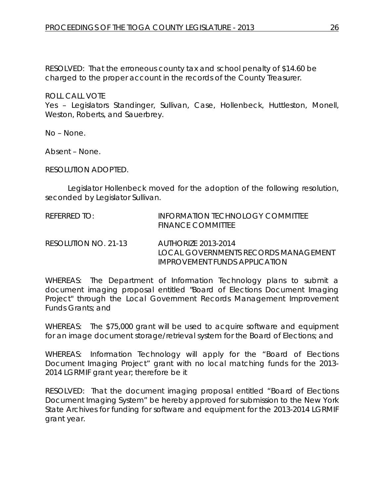RESOLVED: That the erroneous county tax and school penalty of \$14.60 be charged to the proper account in the records of the County Treasurer.

ROLL CALL VOTE

Yes – Legislators Standinger, Sullivan, Case, Hollenbeck, Huttleston, Monell, Weston, Roberts, and Sauerbrey.

No – None.

Absent – None.

RESOLUTION ADOPTED.

Legislator Hollenbeck moved for the adoption of the following resolution, seconded by Legislator Sullivan.

| REFERRED TO:         | INFORMATION TECHNOLOGY COMMITTEE<br><b>FINANCE COMMITTEE</b> |
|----------------------|--------------------------------------------------------------|
| RESOLUTION NO. 21-13 | AUTHORIZE 2013-2014<br>LOCAL GOVERNMENTS RECORDS MANAGEMENT  |

WHEREAS: The Department of Information Technology plans to submit a document imaging proposal entitled "Board of Elections Document Imaging Project" through the Local Government Records Management Improvement Funds Grants; and

*IMPROVEMENT FUNDS APPLICATION*

WHEREAS: The \$75,000 grant will be used to acquire software and equipment for an image document storage/retrieval system for the Board of Elections; and

WHEREAS: Information Technology will apply for the "Board of Elections Document Imaging Project" grant with no local matching funds for the 2013- 2014 LGRMIF grant year; therefore be it

RESOLVED: That the document imaging proposal entitled "Board of Elections Document Imaging System" be hereby approved for submission to the New York State Archives for funding for software and equipment for the 2013-2014 LGRMIF grant year.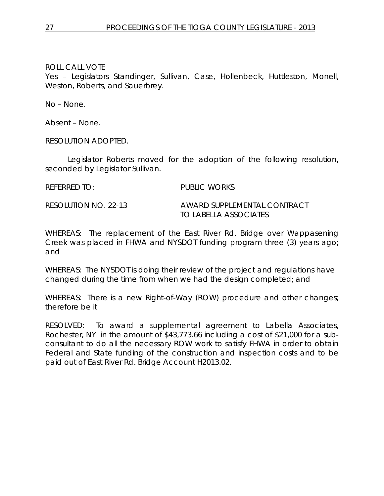Yes – Legislators Standinger, Sullivan, Case, Hollenbeck, Huttleston, Monell, Weston, Roberts, and Sauerbrey.

No – None.

Absent – None.

RESOLUTION ADOPTED.

Legislator Roberts moved for the adoption of the following resolution, seconded by Legislator Sullivan.

REFERRED TO: PUBLIC WORKS

RESOLUTION NO. 22-13 *AWARD SUPPLEMENTAL CONTRACT TO LABELLA ASSOCIATES*

WHEREAS: The replacement of the East River Rd. Bridge over Wappasening Creek was placed in FHWA and NYSDOT funding program three (3) years ago; and

WHEREAS: The NYSDOT is doing their review of the project and regulations have changed during the time from when we had the design completed; and

WHEREAS: There is a new Right-of-Way (ROW) procedure and other changes; therefore be it

RESOLVED: To award a supplemental agreement to Labella Associates, Rochester, NY in the amount of \$43,773.66 including a cost of \$21,000 for a subconsultant to do all the necessary ROW work to satisfy FHWA in order to obtain Federal and State funding of the construction and inspection costs and to be paid out of East River Rd. Bridge Account H2013.02.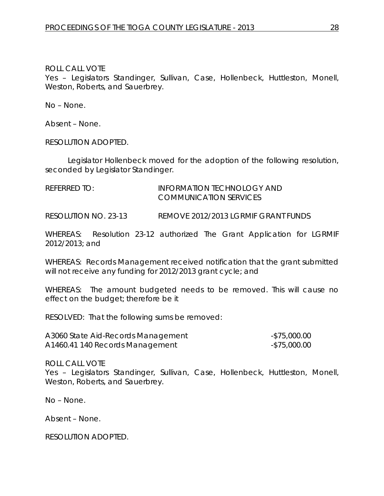Yes – Legislators Standinger, Sullivan, Case, Hollenbeck, Huttleston, Monell, Weston, Roberts, and Sauerbrey.

No – None.

Absent – None.

RESOLUTION ADOPTED.

Legislator Hollenbeck moved for the adoption of the following resolution, seconded by Legislator Standinger.

REFERRED TO: **INFORMATION TECHNOLOGY AND** COMMUNICATION SERVICES

RESOLUTION NO. 23-13 *REMOVE 2012/2013 LGRMIF GRANT FUNDS*

WHEREAS: Resolution 23-12 authorized The Grant Application for LGRMIF 2012/2013; and

WHEREAS: Records Management received notification that the grant submitted will not receive any funding for 2012/2013 grant cycle; and

WHEREAS: The amount budgeted needs to be removed. This will cause no effect on the budget; therefore be it

RESOLVED: That the following sums be removed:

| A3060 State Aid-Records Management | -\$75,000.00 |
|------------------------------------|--------------|
| A1460.41 140 Records Management    | -\$75,000.00 |

ROLL CALL VOTE

Yes – Legislators Standinger, Sullivan, Case, Hollenbeck, Huttleston, Monell, Weston, Roberts, and Sauerbrey.

No – None.

Absent – None.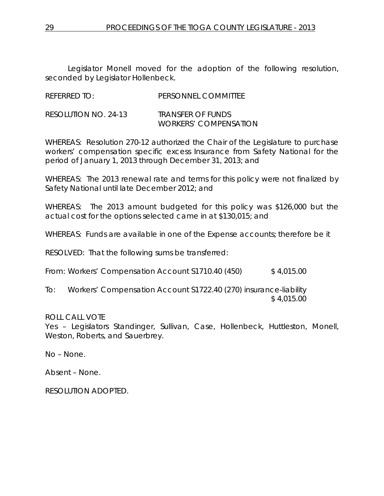Legislator Monell moved for the adoption of the following resolution, seconded by Legislator Hollenbeck.

| <b>REFERRED TO:</b> | PERSONNEL COMMITTEE |
|---------------------|---------------------|

RESOLUTION NO. 24-13 *TRANSFER OF FUNDS WORKERS' COMPENSATION*

WHEREAS: Resolution 270-12 authorized the Chair of the Legislature to purchase workers' compensation specific excess Insurance from Safety National for the period of January 1, 2013 through December 31, 2013; and

WHEREAS: The 2013 renewal rate and terms for this policy were not finalized by Safety National until late December 2012; and

WHEREAS: The 2013 amount budgeted for this policy was \$126,000 but the actual cost for the options selected came in at \$130,015; and

WHEREAS: Funds are available in one of the Expense accounts; therefore be it

RESOLVED: That the following sums be transferred:

From: Workers' Compensation Account S1710.40 (450) \$4,015.00

To: Workers' Compensation Account S1722.40 (270) insurance-liability \$ 4,015.00

#### ROLL CALL VOTE

Yes – Legislators Standinger, Sullivan, Case, Hollenbeck, Huttleston, Monell, Weston, Roberts, and Sauerbrey.

No – None.

Absent – None.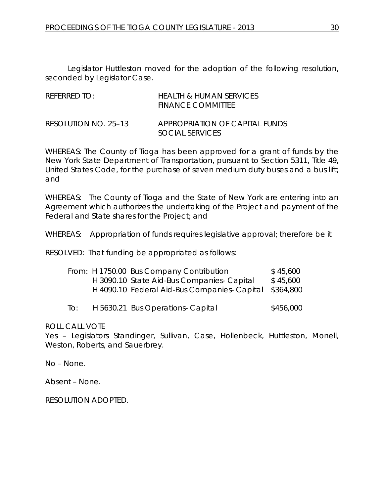Legislator Huttleston moved for the adoption of the following resolution, seconded by Legislator Case.

| REFERRED TO:         | <b>HEALTH &amp; HUMAN SERVICES</b><br><b>FINANCE COMMITTEE</b> |
|----------------------|----------------------------------------------------------------|
| RESOLUTION NO. 25–13 | APPROPRIATION OF CAPITAL FUNDS<br>SOCIAL SERVICES              |

WHEREAS: The County of Tioga has been approved for a grant of funds by the New York State Department of Transportation, pursuant to Section 5311, Title 49, United States Code, for the purchase of seven medium duty buses and a bus lift; and

WHEREAS: The County of Tioga and the State of New York are entering into an Agreement which authorizes the undertaking of the Project and payment of the Federal and State shares for the Project; and

WHEREAS: Appropriation of funds requires legislative approval; therefore be it

RESOLVED: That funding be appropriated as follows:

|     | From: H 1750.00 Bus Company Contribution               | \$45,600  |
|-----|--------------------------------------------------------|-----------|
|     | H 3090.10 State Aid-Bus Companies- Capital             | \$45,600  |
|     | H 4090.10 Federal Aid-Bus Companies- Capital \$364,800 |           |
| To: | H 5630.21 Bus Operations- Capital                      | \$456,000 |

ROLL CALL VOTE

Yes – Legislators Standinger, Sullivan, Case, Hollenbeck, Huttleston, Monell, Weston, Roberts, and Sauerbrey.

No – None.

Absent – None.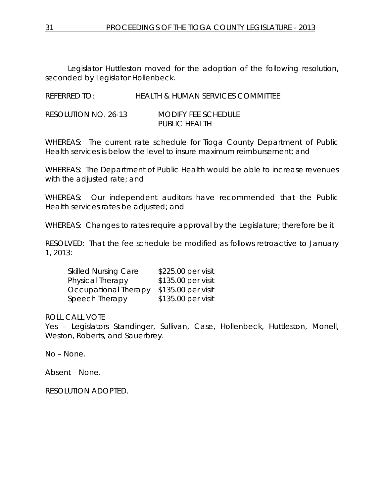Legislator Huttleston moved for the adoption of the following resolution, seconded by Legislator Hollenbeck.

REFERRED TO: HEALTH & HUMAN SERVICES COMMITTEE

RESOLUTION NO. 26-13 *MODIFY FEE SCHEDULE PUBLIC HEALTH*

WHEREAS: The current rate schedule for Tioga County Department of Public Health services is below the level to insure maximum reimbursement; and

WHEREAS: The Department of Public Health would be able to increase revenues with the adjusted rate; and

WHEREAS: Our independent auditors have recommended that the Public Health services rates be adjusted; and

WHEREAS: Changes to rates require approval by the Legislature; therefore be it

RESOLVED: That the fee schedule be modified as follows retroactive to January 1, 2013:

| <b>Skilled Nursing Care</b> | \$225.00 per visit |
|-----------------------------|--------------------|
| Physical Therapy            | \$135.00 per visit |
| Occupational Therapy        | \$135.00 per visit |
| Speech Therapy              | \$135.00 per visit |

ROLL CALL VOTE

Yes – Legislators Standinger, Sullivan, Case, Hollenbeck, Huttleston, Monell, Weston, Roberts, and Sauerbrey.

No – None.

Absent – None.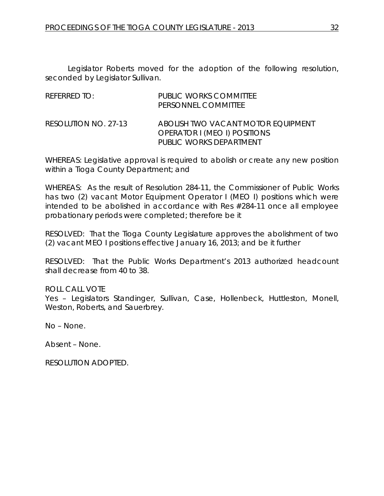Legislator Roberts moved for the adoption of the following resolution, seconded by Legislator Sullivan.

| REFERRED TO:         | PUBLIC WORKS COMMITTEE<br>PERSONNEL COMMITTEE                                                 |
|----------------------|-----------------------------------------------------------------------------------------------|
| RESOLUTION NO. 27-13 | ABOLISH TWO VACANT MOTOR EOUIPMENT<br>OPERATOR I (MEO I) POSITIONS<br>PUBLIC WORKS DEPARTMENT |

WHEREAS: Legislative approval is required to abolish or create any new position within a Tioga County Department; and

WHEREAS: As the result of Resolution 284-11, the Commissioner of Public Works has two (2) vacant Motor Equipment Operator I (MEO I) positions which were intended to be abolished in accordance with Res #284-11 once all employee probationary periods were completed; therefore be it

RESOLVED: That the Tioga County Legislature approves the abolishment of two (2) vacant MEO I positions effective January 16, 2013; and be it further

RESOLVED: That the Public Works Department's 2013 authorized headcount shall decrease from 40 to 38.

# ROLL CALL VOTE

Yes – Legislators Standinger, Sullivan, Case, Hollenbeck, Huttleston, Monell, Weston, Roberts, and Sauerbrey.

No – None.

Absent – None.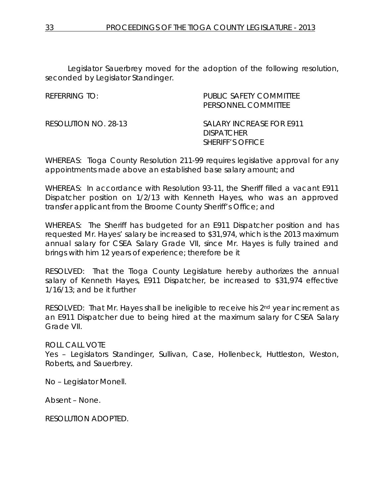Legislator Sauerbrey moved for the adoption of the following resolution, seconded by Legislator Standinger.

| RFFFRRING TO:        | PUBLIC SAFETY COMMITTEE<br>PERSONNEL COMMITTEE                           |
|----------------------|--------------------------------------------------------------------------|
| RESOLUTION NO. 28-13 | SALARY INCREASE FOR E911<br><b>DISPATCHER</b><br><b>SHERIFF'S OFFICE</b> |

WHEREAS: Tioga County Resolution 211-99 requires legislative approval for any appointments made above an established base salary amount; and

WHEREAS: In accordance with Resolution 93-11, the Sheriff filled a vacant E911 Dispatcher position on 1/2/13 with Kenneth Hayes, who was an approved transfer applicant from the Broome County Sheriff's Office; and

WHEREAS: The Sheriff has budgeted for an E911 Dispatcher position and has requested Mr. Hayes' salary be increased to \$31,974, which is the 2013 maximum annual salary for CSEA Salary Grade VII, since Mr. Hayes is fully trained and brings with him 12 years of experience; therefore be it

RESOLVED: That the Tioga County Legislature hereby authorizes the annual salary of Kenneth Hayes, E911 Dispatcher, be increased to \$31,974 effective 1/16/13; and be it further

RESOLVED: That Mr. Hayes shall be ineligible to receive his 2<sup>nd</sup> year increment as an E911 Dispatcher due to being hired at the maximum salary for CSEA Salary Grade VII.

ROLL CALL VOTE

Yes – Legislators Standinger, Sullivan, Case, Hollenbeck, Huttleston, Weston, Roberts, and Sauerbrey.

No – Legislator Monell.

Absent – None.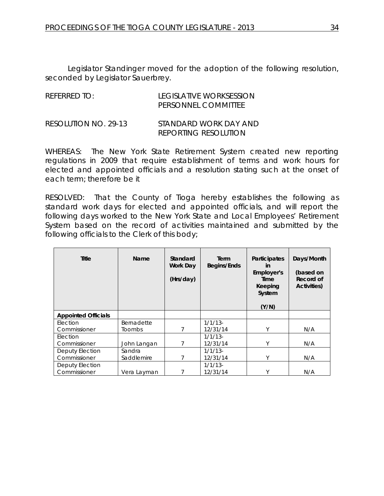Legislator Standinger moved for the adoption of the following resolution, seconded by Legislator Sauerbrey.

| REFERRED TO:         | TEGISLATIVE WORKSESSION<br>PERSONNEL COMMITTEE |
|----------------------|------------------------------------------------|
| RESOLUTION NO. 29-13 | STANDARD WORK DAY AND<br>REPORTING RESOLUTION  |

WHEREAS: The New York State Retirement System created new reporting regulations in 2009 that require establishment of terms and work hours for elected and appointed officials and a resolution stating such at the onset of each term; therefore be it

RESOLVED: That the County of Tioga hereby establishes the following as standard work days for elected and appointed officials, and will report the following days worked to the New York State and Local Employees' Retirement System based on the record of activities maintained and submitted by the following officials to the Clerk of this body;

| <b>Title</b>               | Name        | Standard<br><b>Work Day</b><br>(Hrs/day) | Term<br>Begins/Ends | Participates<br><b>in</b><br>Employer's<br>Time<br>Keeping<br>System<br>(Y/N) | Days/Month<br>(based on<br>Record of<br>Activities) |
|----------------------------|-------------|------------------------------------------|---------------------|-------------------------------------------------------------------------------|-----------------------------------------------------|
| <b>Appointed Officials</b> |             |                                          |                     |                                                                               |                                                     |
| Election                   | Bernadette  |                                          | $1/1/13$ -          |                                                                               |                                                     |
| Commissioner               | Toombs      | 7                                        | 12/31/14            | Υ                                                                             | N/A                                                 |
| Election                   |             |                                          | $1/1/13$ -          |                                                                               |                                                     |
| Commissioner               | John Langan | 7                                        | 12/31/14            | Υ                                                                             | N/A                                                 |
| Deputy Election            | Sandra      |                                          | $1/1/13$ -          |                                                                               |                                                     |
| Commissioner               | Saddlemire  | 7                                        | 12/31/14            | Υ                                                                             | N/A                                                 |
| Deputy Election            |             |                                          | $1/1/13$ -          |                                                                               |                                                     |
| Commissioner               | Vera Layman | 7                                        | 12/31/14            | Υ                                                                             | N/A                                                 |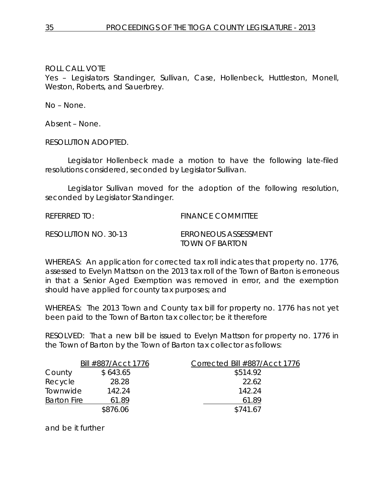Yes – Legislators Standinger, Sullivan, Case, Hollenbeck, Huttleston, Monell, Weston, Roberts, and Sauerbrey.

No – None.

Absent – None.

RESOLUTION ADOPTED.

Legislator Hollenbeck made a motion to have the following late-filed resolutions considered, seconded by Legislator Sullivan.

Legislator Sullivan moved for the adoption of the following resolution, seconded by Legislator Standinger.

REFERRED TO: FINANCE COMMITTEE

RESOLUTION NO. 30-13 *ERRONEOUS ASSESSMENT TOWN OF BARTON*

WHEREAS: An application for corrected tax roll indicates that property no. 1776, assessed to Evelyn Mattson on the 2013 tax roll of the Town of Barton is erroneous in that a Senior Aged Exemption was removed in error, and the exemption should have applied for county tax purposes; and

WHEREAS: The 2013 Town and County tax bill for property no. 1776 has not yet been paid to the Town of Barton tax collector; be it therefore

RESOLVED: That a new bill be issued to Evelyn Mattson for property no. 1776 in the Town of Barton by the Town of Barton tax collector as follows:

| Bill #887/Acct 1776 |          | Corrected Bill #887/Acct 1776 |  |  |
|---------------------|----------|-------------------------------|--|--|
| County              | \$643.65 | \$514.92                      |  |  |
| Recycle             | 28.28    | 22.62                         |  |  |
| Townwide            | 142.24   | 142.24                        |  |  |
| <b>Barton Fire</b>  | 61.89    | 61.89                         |  |  |
|                     | \$876.06 | \$741.67                      |  |  |

and be it further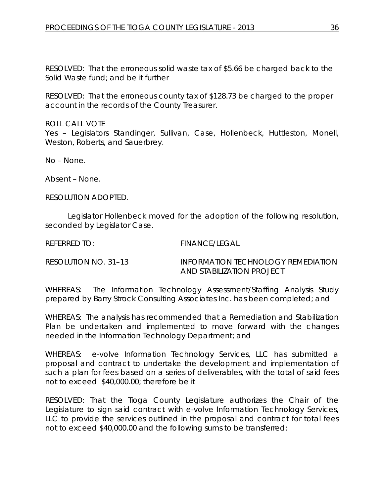RESOLVED: That the erroneous solid waste tax of \$5.66 be charged back to the Solid Waste fund; and be it further

RESOLVED: That the erroneous county tax of \$128.73 be charged to the proper account in the records of the County Treasurer.

ROLL CALL VOTE Yes – Legislators Standinger, Sullivan, Case, Hollenbeck, Huttleston, Monell, Weston, Roberts, and Sauerbrey.

No – None.

Absent – None.

RESOLUTION ADOPTED.

Legislator Hollenbeck moved for the adoption of the following resolution, seconded by Legislator Case.

REFERRED TO: FINANCE/LEGAL

RESOLUTION NO. 31–13 *INFORMATION TECHNOLOGY REMEDIATION AND STABILIZATION PROJECT*

WHEREAS: The Information Technology Assessment/Staffing Analysis Study prepared by Barry Strock Consulting Associates Inc. has been completed; and

WHEREAS: The analysis has recommended that a Remediation and Stabilization Plan be undertaken and implemented to move forward with the changes needed in the Information Technology Department; and

WHEREAS: e-volve Information Technology Services, LLC has submitted a proposal and contract to undertake the development and implementation of such a plan for fees based on a series of deliverables, with the total of said fees not to exceed \$40,000.00; therefore be it

RESOLVED: That the Tioga County Legislature authorizes the Chair of the Legislature to sign said contract with e-volve Information Technology Services, LLC to provide the services outlined in the proposal and contract for total fees not to exceed \$40,000.00 and the following sums to be transferred: